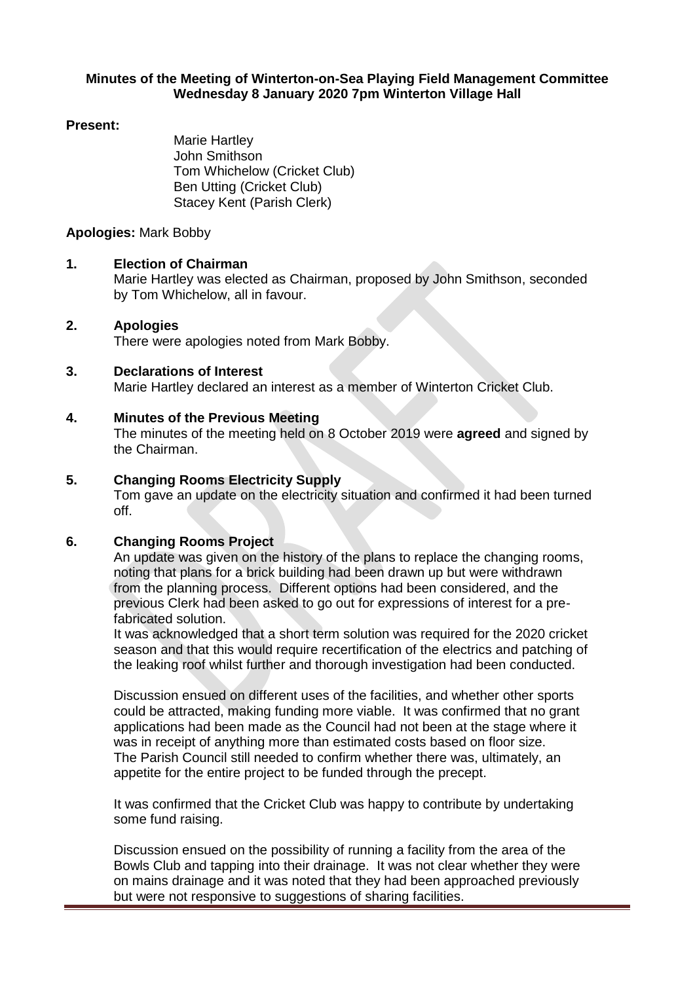#### **Minutes of the Meeting of Winterton-on-Sea Playing Field Management Committee Wednesday 8 January 2020 7pm Winterton Village Hall**

#### **Present:**

Marie Hartley John Smithson Tom Whichelow (Cricket Club) Ben Utting (Cricket Club) Stacey Kent (Parish Clerk)

# **Apologies:** Mark Bobby

# **1. Election of Chairman**

Marie Hartley was elected as Chairman, proposed by John Smithson, seconded by Tom Whichelow, all in favour.

# **2. Apologies**

There were apologies noted from Mark Bobby.

# **3. Declarations of Interest**

Marie Hartley declared an interest as a member of Winterton Cricket Club.

# **4. Minutes of the Previous Meeting**

The minutes of the meeting held on 8 October 2019 were **agreed** and signed by the Chairman.

# **5. Changing Rooms Electricity Supply**

Tom gave an update on the electricity situation and confirmed it had been turned off.

# **6. Changing Rooms Project**

An update was given on the history of the plans to replace the changing rooms, noting that plans for a brick building had been drawn up but were withdrawn from the planning process. Different options had been considered, and the previous Clerk had been asked to go out for expressions of interest for a prefabricated solution.

It was acknowledged that a short term solution was required for the 2020 cricket season and that this would require recertification of the electrics and patching of the leaking roof whilst further and thorough investigation had been conducted.

Discussion ensued on different uses of the facilities, and whether other sports could be attracted, making funding more viable. It was confirmed that no grant applications had been made as the Council had not been at the stage where it was in receipt of anything more than estimated costs based on floor size. The Parish Council still needed to confirm whether there was, ultimately, an appetite for the entire project to be funded through the precept.

It was confirmed that the Cricket Club was happy to contribute by undertaking some fund raising.

Discussion ensued on the possibility of running a facility from the area of the Bowls Club and tapping into their drainage. It was not clear whether they were on mains drainage and it was noted that they had been approached previously but were not responsive to suggestions of sharing facilities.